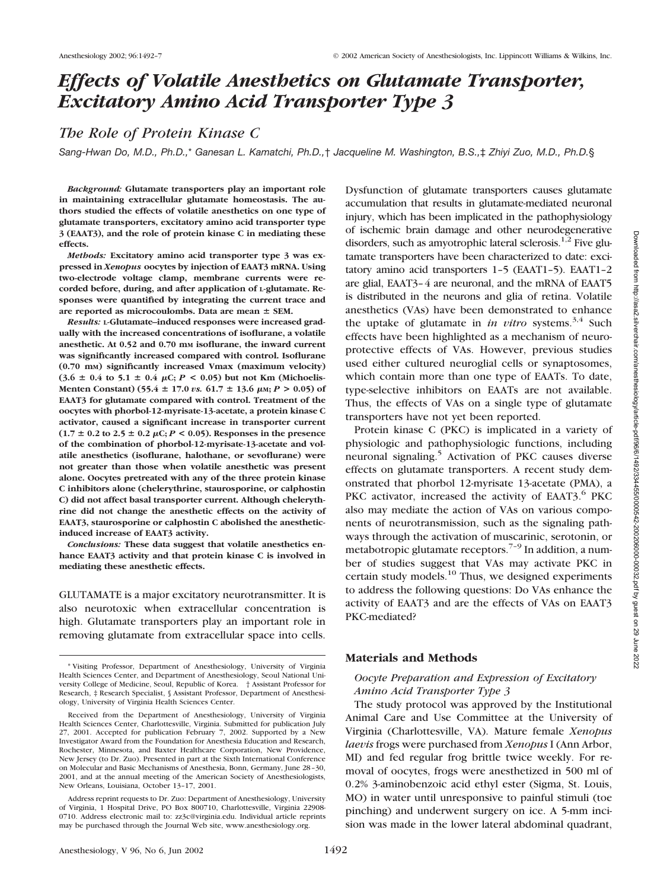Dysfunction of glutamate transporters causes glutamate accumulation that results in glutamate-mediated neuronal injury, which has been implicated in the pathophysiology of ischemic brain damage and other neurodegenerative disorders, such as amyotrophic lateral sclerosis. $1,2$  Five glutamate transporters have been characterized to date: excitatory amino acid transporters 1–5 (EAAT1–5). EAAT1–2 are glial, EAAT3–4 are neuronal, and the mRNA of EAAT5 is distributed in the neurons and glia of retina. Volatile anesthetics (VAs) have been demonstrated to enhance

# *Effects of Volatile Anesthetics on Glutamate Transporter, Excitatory Amino Acid Transporter Type 3*

# *The Role of Protein Kinase C*

*Sang-Hwan Do, M.D., Ph.D.,*\* *Ganesan L. Kamatchi, Ph.D.,*† *Jacqueline M. Washington, B.S.,*‡ *Zhiyi Zuo, M.D., Ph.D.*§

*Background:* **Glutamate transporters play an important role in maintaining extracellular glutamate homeostasis. The authors studied the effects of volatile anesthetics on one type of glutamate transporters, excitatory amino acid transporter type 3 (EAAT3), and the role of protein kinase C in mediating these effects.**

*Methods:* **Excitatory amino acid transporter type 3 was expressed in** *Xenopus* **oocytes by injection of EAAT3 mRNA. Using two-electrode voltage clamp, membrane currents were recorded before, during, and after application of L-glutamate. Responses were quantified by integrating the current trace and are reported as microcoulombs. Data are mean SEM.**

*Results:* **L-Glutamate–induced responses were increased gradually with the increased concentrations of isoflurane, a volatile anesthetic. At 0.52 and 0.70 mM isoflurane, the inward current was significantly increased compared with control. Isoflurane (0.70 mM) significantly increased Vmax (maximum velocity)**  $(3.6 \pm 0.4 \text{ to } 5.1 \pm 0.4 \text{ }\mu\text{C}; P < 0.05)$  but not Km (Michoelis-**Menten Constant)** (55.4  $\pm$  17.0 *vs.* 61.7  $\pm$  13.6  $\mu$ м; *P* > 0.05) of **EAAT3 for glutamate compared with control. Treatment of the oocytes with phorbol-12-myrisate-13-acetate, a protein kinase C activator, caused a significant increase in transporter current**  $(1.7 \pm 0.2 \text{ to } 2.5 \pm 0.2 \mu\text{C}; P < 0.05)$ . Responses in the presence **of the combination of phorbol-12-myrisate-13-acetate and volatile anesthetics (isoflurane, halothane, or sevoflurane) were not greater than those when volatile anesthetic was present alone. Oocytes pretreated with any of the three protein kinase C inhibitors alone (chelerythrine, staurosporine, or calphostin C) did not affect basal transporter current. Although chelerythrine did not change the anesthetic effects on the activity of EAAT3, staurosporine or calphostin C abolished the anestheticinduced increase of EAAT3 activity.**

*Conclusions:* **These data suggest that volatile anesthetics enhance EAAT3 activity and that protein kinase C is involved in mediating these anesthetic effects.**

GLUTAMATE is a major excitatory neurotransmitter. It is also neurotoxic when extracellular concentration is high. Glutamate transporters play an important role in removing glutamate from extracellular space into cells.

the uptake of glutamate in *in vitro* systems.<sup>3,4</sup> Such effects have been highlighted as a mechanism of neuroprotective effects of VAs. However, previous studies used either cultured neuroglial cells or synaptosomes, which contain more than one type of EAATs. To date, type-selective inhibitors on EAATs are not available. Thus, the effects of VAs on a single type of glutamate transporters have not yet been reported. Protein kinase C (PKC) is implicated in a variety of physiologic and pathophysiologic functions, including neuronal signaling.<sup>5</sup> Activation of PKC causes diverse effects on glutamate transporters. A recent study demonstrated that phorbol 12-myrisate 13-acetate (PMA), a PKC activator, increased the activity of EAAT3.<sup>6</sup> PKC

also may mediate the action of VAs on various components of neurotransmission, such as the signaling pathways through the activation of muscarinic, serotonin, or metabotropic glutamate receptors.<sup> $7-9$ </sup> In addition, a number of studies suggest that VAs may activate PKC in certain study models.<sup>10</sup> Thus, we designed experiments to address the following questions: Do VAs enhance the activity of EAAT3 and are the effects of VAs on EAAT3 PKC-mediated?

#### **Materials and Methods**

# *Oocyte Preparation and Expression of Excitatory Amino Acid Transporter Type 3*

The study protocol was approved by the Institutional Animal Care and Use Committee at the University of Virginia (Charlottesville, VA). Mature female *Xenopus laevis* frogs were purchased from *Xenopus* I (Ann Arbor, MI) and fed regular frog brittle twice weekly. For removal of oocytes, frogs were anesthetized in 500 ml of 0.2% 3-aminobenzoic acid ethyl ester (Sigma, St. Louis, MO) in water until unresponsive to painful stimuli (toe pinching) and underwent surgery on ice. A 5-mm incision was made in the lower lateral abdominal quadrant,

<sup>\*</sup> Visiting Professor, Department of Anesthesiology, University of Virginia Health Sciences Center, and Department of Anesthesiology, Seoul National University College of Medicine, Seoul, Republic of Korea. † Assistant Professor for Research, ‡ Research Specialist, § Assistant Professor, Department of Anesthesiology, University of Virginia Health Sciences Center.

Received from the Department of Anesthesiology, University of Virginia Health Sciences Center, Charlottesville, Virginia. Submitted for publication July 27, 2001. Accepted for publication February 7, 2002. Supported by a New Investigator Award from the Foundation for Anesthesia Education and Research, Rochester, Minnesota, and Baxter Healthcare Corporation, New Providence, New Jersey (to Dr. Zuo). Presented in part at the Sixth International Conference on Molecular and Basic Mechanisms of Anesthesia, Bonn, Germany, June 28–30, 2001, and at the annual meeting of the American Society of Anesthesiologists, New Orleans, Louisiana, October 13–17, 2001.

Address reprint requests to Dr. Zuo: Department of Anesthesiology, University of Virginia, 1 Hospital Drive, PO Box 800710, Charlottesville, Virginia 22908- 0710. Address electronic mail to: zz3c@virginia.edu. Individual article reprints may be purchased through the Journal Web site, www.anesthesiology.org.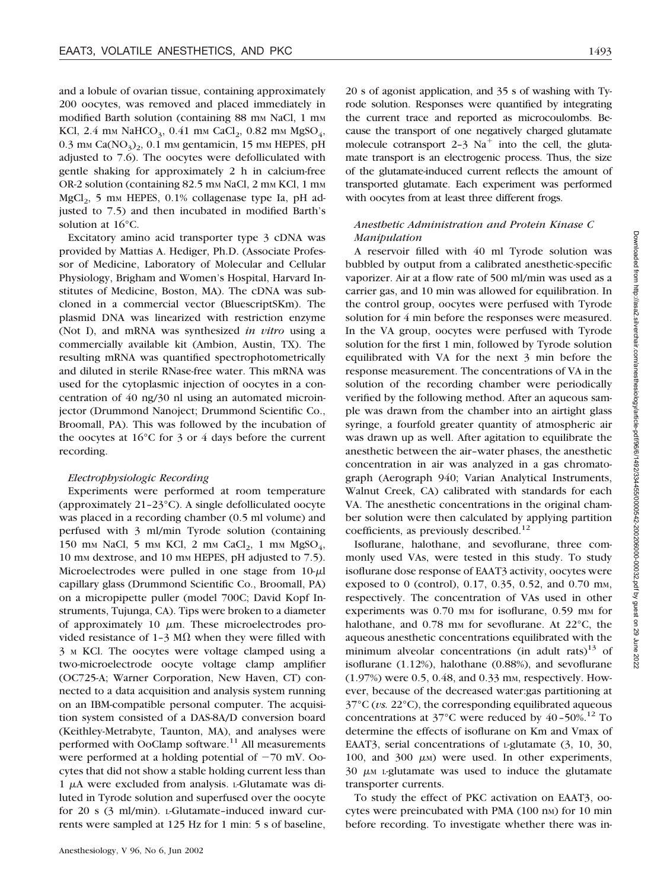and a lobule of ovarian tissue, containing approximately 200 oocytes, was removed and placed immediately in modified Barth solution (containing 88 mm NaCl, 1 mm KCl, 2.4 mm NaHCO<sub>3</sub>, 0.41 mm CaCl<sub>2</sub>, 0.82 mm MgSO<sub>4</sub>,  $0.3$  mm Ca( $NO<sub>3</sub>$ )<sub>2</sub>, 0.1 mm gentamicin, 15 mm HEPES, pH adjusted to 7.6). The oocytes were defolliculated with gentle shaking for approximately 2 h in calcium-free OR-2 solution (containing 82.5 mm NaCl, 2 mm KCl, 1 mm  $MgCl<sub>2</sub>$ , 5 mm HEPES, 0.1% collagenase type Ia, pH adjusted to 7.5) and then incubated in modified Barth's solution at 16°C.

Excitatory amino acid transporter type 3 cDNA was provided by Mattias A. Hediger, Ph.D. (Associate Professor of Medicine, Laboratory of Molecular and Cellular Physiology, Brigham and Women's Hospital, Harvard Institutes of Medicine, Boston, MA). The cDNA was subcloned in a commercial vector (BluescriptSKm). The plasmid DNA was linearized with restriction enzyme (Not I), and mRNA was synthesized *in vitro* using a commercially available kit (Ambion, Austin, TX). The resulting mRNA was quantified spectrophotometrically and diluted in sterile RNase-free water. This mRNA was used for the cytoplasmic injection of oocytes in a concentration of 40 ng/30 nl using an automated microinjector (Drummond Nanoject; Drummond Scientific Co., Broomall, PA). This was followed by the incubation of the oocytes at 16°C for 3 or 4 days before the current recording.

#### *Electrophysiologic Recording*

Experiments were performed at room temperature (approximately 21–23°C). A single defolliculated oocyte was placed in a recording chamber (0.5 ml volume) and perfused with 3 ml/min Tyrode solution (containing 150 mm NaCl, 5 mm KCl, 2 mm CaCl<sub>2</sub>, 1 mm MgSO<sub>4</sub>, 10 mM dextrose, and 10 mM HEPES, pH adjusted to 7.5). Microelectrodes were pulled in one stage from  $10-\mu$ l capillary glass (Drummond Scientific Co., Broomall, PA) on a micropipette puller (model 700C; David Kopf Instruments, Tujunga, CA). Tips were broken to a diameter of approximately 10  $\mu$ m. These microelectrodes provided resistance of 1-3 M $\Omega$  when they were filled with 3 <sup>M</sup> KCl. The oocytes were voltage clamped using a two-microelectrode oocyte voltage clamp amplifier (OC725-A; Warner Corporation, New Haven, CT) connected to a data acquisition and analysis system running on an IBM-compatible personal computer. The acquisition system consisted of a DAS-8A/D conversion board (Keithley-Metrabyte, Taunton, MA), and analyses were performed with OoClamp software.<sup>11</sup> All measurements were performed at a holding potential of  $-70$  mV. Oocytes that did not show a stable holding current less than  $1 \mu A$  were excluded from analysis. L-Glutamate was diluted in Tyrode solution and superfused over the oocyte for 20 s (3 ml/min). L-Glutamate–induced inward currents were sampled at 125 Hz for 1 min: 5 s of baseline,

20 s of agonist application, and 35 s of washing with Tyrode solution. Responses were quantified by integrating the current trace and reported as microcoulombs. Because the transport of one negatively charged glutamate molecule cotransport 2-3  $Na<sup>+</sup>$  into the cell, the glutamate transport is an electrogenic process. Thus, the size of the glutamate-induced current reflects the amount of transported glutamate. Each experiment was performed with oocytes from at least three different frogs.

# *Anesthetic Administration and Protein Kinase C Manipulation*

A reservoir filled with 40 ml Tyrode solution was bubbled by output from a calibrated anesthetic-specific vaporizer. Air at a flow rate of 500 ml/min was used as a carrier gas, and 10 min was allowed for equilibration. In the control group, oocytes were perfused with Tyrode solution for 4 min before the responses were measured. In the VA group, oocytes were perfused with Tyrode solution for the first 1 min, followed by Tyrode solution equilibrated with VA for the next 3 min before the response measurement. The concentrations of VA in the solution of the recording chamber were periodically verified by the following method. After an aqueous sample was drawn from the chamber into an airtight glass syringe, a fourfold greater quantity of atmospheric air was drawn up as well. After agitation to equilibrate the anesthetic between the air–water phases, the anesthetic concentration in air was analyzed in a gas chromatograph (Aerograph 940; Varian Analytical Instruments, Walnut Creek, CA) calibrated with standards for each VA. The anesthetic concentrations in the original chamber solution were then calculated by applying partition coefficients, as previously described.<sup>12</sup>

Isoflurane, halothane, and sevoflurane, three commonly used VAs, were tested in this study. To study isoflurane dose response of EAAT3 activity, oocytes were exposed to 0 (control), 0.17, 0.35, 0.52, and 0.70 mm, respectively. The concentration of VAs used in other experiments was  $0.70$  mm for isoflurane,  $0.59$  mm for halothane, and  $0.78$  mm for sevoflurane. At  $22^{\circ}$ C, the aqueous anesthetic concentrations equilibrated with the minimum alveolar concentrations (in adult rats)<sup>13</sup> of isoflurane (1.12%), halothane (0.88%), and sevoflurane  $(1.97%)$  were 0.5, 0.48, and 0.33 mm, respectively. However, because of the decreased water:gas partitioning at 37°C (*vs.* 22°C), the corresponding equilibrated aqueous concentrations at  $37^{\circ}$ C were reduced by  $40-50\%$ .<sup>12</sup> To determine the effects of isoflurane on Km and Vmax of EAAT3, serial concentrations of *L*-glutamate (3, 10, 30, 100, and 300  $\mu$ <sub>M</sub>) were used. In other experiments,  $30 \mu$ <sub>M</sub> L-glutamate was used to induce the glutamate transporter currents.

To study the effect of PKC activation on EAAT3, oocytes were preincubated with PMA (100 nm) for 10 min before recording. To investigate whether there was in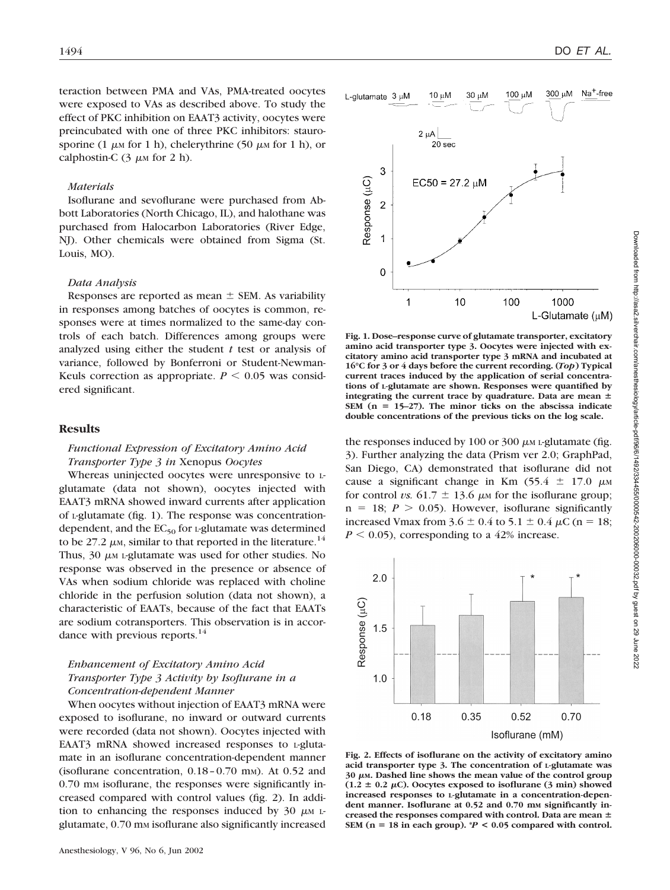teraction between PMA and VAs, PMA-treated oocytes were exposed to VAs as described above. To study the effect of PKC inhibition on EAAT3 activity, oocytes were preincubated with one of three PKC inhibitors: staurosporine (1  $\mu$ M for 1 h), chelerythrine (50  $\mu$ M for 1 h), or calphostin-C  $(3 \mu M)$  for 2 h).

#### *Materials*

Isoflurane and sevoflurane were purchased from Abbott Laboratories (North Chicago, IL), and halothane was purchased from Halocarbon Laboratories (River Edge, NJ). Other chemicals were obtained from Sigma (St. Louis, MO).

#### *Data Analysis*

Responses are reported as mean  $\pm$  SEM. As variability in responses among batches of oocytes is common, responses were at times normalized to the same-day controls of each batch. Differences among groups were analyzed using either the student *t* test or analysis of variance, followed by Bonferroni or Student-Newman-Keuls correction as appropriate.  $P \leq 0.05$  was considered significant.

#### **Results**

#### *Functional Expression of Excitatory Amino Acid Transporter Type 3 in* Xenopus *Oocytes*

Whereas uninjected oocytes were unresponsive to Lglutamate (data not shown), oocytes injected with EAAT3 mRNA showed inward currents after application of L-glutamate (fig. 1). The response was concentrationdependent, and the  $EC_{50}$  for L-glutamate was determined to be 27.2  $\mu$ <sub>M</sub>, similar to that reported in the literature.<sup>14</sup> Thus,  $30 \mu \text{m}$  L-glutamate was used for other studies. No response was observed in the presence or absence of VAs when sodium chloride was replaced with choline chloride in the perfusion solution (data not shown), a characteristic of EAATs, because of the fact that EAATs are sodium cotransporters. This observation is in accordance with previous reports.<sup>14</sup>

# *Enhancement of Excitatory Amino Acid Transporter Type 3 Activity by Isoflurane in a Concentration-dependent Manner*

When oocytes without injection of EAAT3 mRNA were exposed to isoflurane, no inward or outward currents were recorded (data not shown). Oocytes injected with EAAT3 mRNA showed increased responses to L-glutamate in an isoflurane concentration-dependent manner (isoflurane concentration,  $0.18 - 0.70$  mm). At  $0.52$  and 0.70 mm isoflurane, the responses were significantly increased compared with control values (fig. 2). In addition to enhancing the responses induced by 30  $\mu$ M Lglutamate, 0.70 mm isoflurane also significantly increased



**Fig. 1. Dose–response curve of glutamate transporter, excitatory amino acid transporter type 3. Oocytes were injected with excitatory amino acid transporter type 3 mRNA and incubated at 16°C for 3 or 4 days before the current recording. (***Top***) Typical current traces induced by the application of serial concentrations of L-glutamate are shown. Responses were quantified by integrating the current trace by quadrature. Data are mean SEM (n 15–27). The minor ticks on the abscissa indicate double concentrations of the previous ticks on the log scale.**

the responses induced by 100 or 300  $\mu$ M L-glutamate (fig. 3). Further analyzing the data (Prism ver 2.0; GraphPad, San Diego, CA) demonstrated that isoflurane did not cause a significant change in Km  $(55.4 \pm 17.0 \mu \text{m})$ for control *vs.* 61.7  $\pm$  13.6  $\mu$ M for the isoflurane group;  $n = 18$ ;  $P > 0.05$ ). However, isoflurane significantly increased Vmax from  $3.6 \pm 0.4$  to  $5.1 \pm 0.4 \mu C$  (n = 18;  $P \leq 0.05$ ), corresponding to a 42% increase.



**Fig. 2. Effects of isoflurane on the activity of excitatory amino acid transporter type 3. The concentration of L-glutamate was** 30  $\mu$ m. Dashed line shows the mean value of the control group  $(1.2 \pm 0.2 \,\mu\text{C})$ . Oocytes exposed to isoflurane  $(3 \text{ min})$  showed **increased responses to L-glutamate in a concentration-depen**dent manner. Isoflurane at 0.52 and 0.70 mm significantly in**creased the responses compared with control. Data are mean** SEM ( $n = 18$  in each group).  $P < 0.05$  compared with control.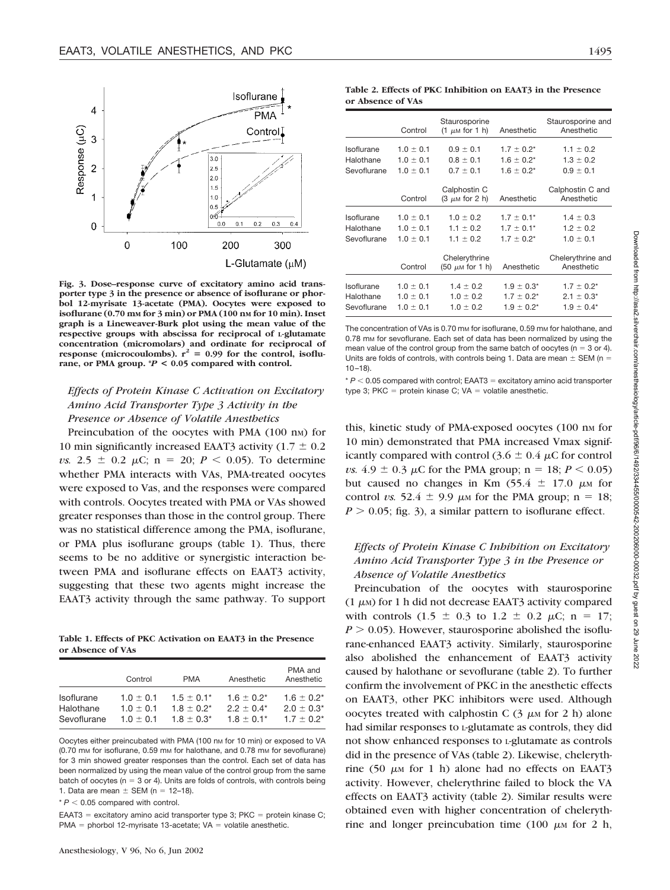

**Fig. 3. Dose–response curve of excitatory amino acid transporter type 3 in the presence or absence of isoflurane or phorbol 12-myrisate 13-acetate (PMA). Oocytes were exposed to isoflurane (0.70 mM for 3 min) or PMA (100 nM for 10 min). Inset graph is a Lineweaver-Burk plot using the mean value of the respective groups with abscissa for reciprocal of L-glutamate concentration (micromolars) and ordinate for reciprocal of** response (microcoulombs),  $r^2 = 0.99$  for the control, isoflu**rane, or PMA group. \****P* **< 0.05 compared with control.**

# *Effects of Protein Kinase C Activation on Excitatory Amino Acid Transporter Type 3 Activity in the Presence or Absence of Volatile Anesthetics*

Preincubation of the oocytes with PMA (100 nm) for 10 min significantly increased EAAT3 activity (1.7  $\pm$  0.2 *vs.* 2.5  $\pm$  0.2  $\mu$ C; n = 20; *P* < 0.05). To determine whether PMA interacts with VAs, PMA-treated oocytes were exposed to Vas, and the responses were compared with controls. Oocytes treated with PMA or VAs showed greater responses than those in the control group. There was no statistical difference among the PMA, isoflurane, or PMA plus isoflurane groups (table 1). Thus, there seems to be no additive or synergistic interaction between PMA and isoflurane effects on EAAT3 activity, suggesting that these two agents might increase the EAAT3 activity through the same pathway. To support

**Table 1. Effects of PKC Activation on EAAT3 in the Presence or Absence of VAs**

|                   | Control       | <b>PMA</b>      | Anesthetic      | PMA and<br>Anesthetic |
|-------------------|---------------|-----------------|-----------------|-----------------------|
| <b>Isoflurane</b> | $1.0 + 0.1$   | $1.5 \pm 0.1^*$ | $1.6 + 0.2^*$   | $1.6 \pm 0.2^*$       |
| Halothane         | $1.0 \pm 0.1$ | $1.8 \pm 0.2^*$ | $2.2 \pm 0.4^*$ | $2.0 \pm 0.3^*$       |
| Sevoflurane       | $1.0 + 0.1$   | $1.8 + 0.3^*$   | $1.8 + 0.1*$    | $1.7 + 0.2^*$         |

Oocytes either preincubated with PMA (100 nm for 10 min) or exposed to VA (0.70 mm for isoflurane, 0.59 mm for halothane, and 0.78 mm for sevoflurane) for 3 min showed greater responses than the control. Each set of data has been normalized by using the mean value of the control group from the same batch of oocytes ( $n = 3$  or 4). Units are folds of controls, with controls being 1. Data are mean  $\pm$  SEM (n = 12–18).

 $* P < 0.05$  compared with control.

EAAT3 = excitatory amino acid transporter type 3; PKC = protein kinase C; PMA = phorbol 12-myrisate 13-acetate;  $VA =$  volatile anesthetic.

**Table 2. Effects of PKC Inhibition on EAAT3 in the Presence or Absence of VAs**

|                                        | Control                                         | Staurosporine<br>$(1 \mu M$ for 1 h)            | Anesthetic                                            | Staurosporine and<br>Anesthetic                      |
|----------------------------------------|-------------------------------------------------|-------------------------------------------------|-------------------------------------------------------|------------------------------------------------------|
| Isoflurane<br>Halothane<br>Sevoflurane | $1.0 \pm 0.1$<br>$1.0 \pm 0.1$<br>$1.0 \pm 0.1$ | $0.9 \pm 0.1$<br>$0.8 \pm 0.1$<br>$0.7 \pm 0.1$ | $1.7 \pm 0.2^*$<br>$1.6 \pm 0.2^*$<br>$1.6 \pm 0.2^*$ | $1.1 \pm 0.2$<br>$1.3 \pm 0.2$<br>$0.9 \pm 0.1$      |
|                                        | Control                                         | Calphostin C<br>$(3 \mu M$ for 2 h)             | Anesthetic                                            | Calphostin C and<br>Anesthetic                       |
| Isoflurane<br>Halothane<br>Sevoflurane | $1.0 \pm 0.1$<br>$1.0 \pm 0.1$<br>$1.0 \pm 0.1$ | $1.0 \pm 0.2$<br>$1.1 \pm 0.2$<br>$1.1 \pm 0.2$ | $1.7 \pm 0.1^*$<br>$1.7 \pm 0.1*$<br>$1.7 \pm 0.2^*$  | $1.4 \pm 0.3$<br>$1.2 \pm 0.2$<br>$1.0 \pm 0.1$      |
|                                        | Control                                         | Chelerythrine<br>$(50 \mu M$ for 1 h)           | Anesthetic                                            | Chelerythrine and<br>Anesthetic                      |
| Isoflurane<br>Halothane<br>Sevoflurane | $1.0 \pm 0.1$<br>$1.0 \pm 0.1$<br>$1.0 \pm 0.1$ | $1.4 \pm 0.2$<br>$1.0 \pm 0.2$<br>$1.0 \pm 0.2$ | $1.9 \pm 0.3^*$<br>$1.7 \pm 0.2^*$<br>$1.9 \pm 0.2^*$ | $1.7 \pm 0.2^*$<br>$2.1 \pm 0.3^*$<br>$1.9 \pm 0.4*$ |

The concentration of VAs is 0.70 mm for isoflurane, 0.59 mm for halothane, and 0.78 mm for sevoflurane. Each set of data has been normalized by using the mean value of the control group from the same batch of oocytes ( $n = 3$  or 4). Units are folds of controls, with controls being 1. Data are mean  $\pm$  SEM (n = 10–18).

 $* P < 0.05$  compared with control: EAAT3 = excitatory amino acid transporter type 3; PKC = protein kinase C;  $VA =$  volatile anesthetic.

this, kinetic study of PMA-exposed oocytes (100 nm for 10 min) demonstrated that PMA increased Vmax significantly compared with control (3.6  $\pm$  0.4  $\mu$ C for control *vs.*  $4.9 \pm 0.3 \mu C$  for the PMA group;  $n = 18; P \le 0.05$ ) but caused no changes in Km  $(55.4 \pm 17.0 \mu \text{m})$  for control *vs.* 52.4  $\pm$  9.9  $\mu$ M for the PMA group; n = 18;  $P > 0.05$ ; fig. 3), a similar pattern to isoflurane effect.

# *Effects of Protein Kinase C Inhibition on Excitatory Amino Acid Transporter Type 3 in the Presence or Absence of Volatile Anesthetics*

Preincubation of the oocytes with staurosporine  $(1 \mu)$  for 1 h did not decrease EAAT3 activity compared with controls  $(1.5 \pm 0.3 \text{ to } 1.2 \pm 0.2 \text{ }\mu\text{C}; \text{ n} = 17;$  $P > 0.05$ ). However, staurosporine abolished the isoflurane-enhanced EAAT3 activity. Similarly, staurosporine also abolished the enhancement of EAAT3 activity caused by halothane or sevoflurane (table 2). To further confirm the involvement of PKC in the anesthetic effects on EAAT3, other PKC inhibitors were used. Although oocytes treated with calphostin C  $(3 \mu M)$  for 2 h) alone had similar responses to L-glutamate as controls, they did not show enhanced responses to L-glutamate as controls did in the presence of VAs (table 2). Likewise, chelerythrine (50  $\mu$ M for 1 h) alone had no effects on EAAT3 activity. However, chelerythrine failed to block the VA effects on EAAT3 activity (table 2). Similar results were obtained even with higher concentration of chelerythrine and longer preincubation time  $(100 \mu)$  for 2 h,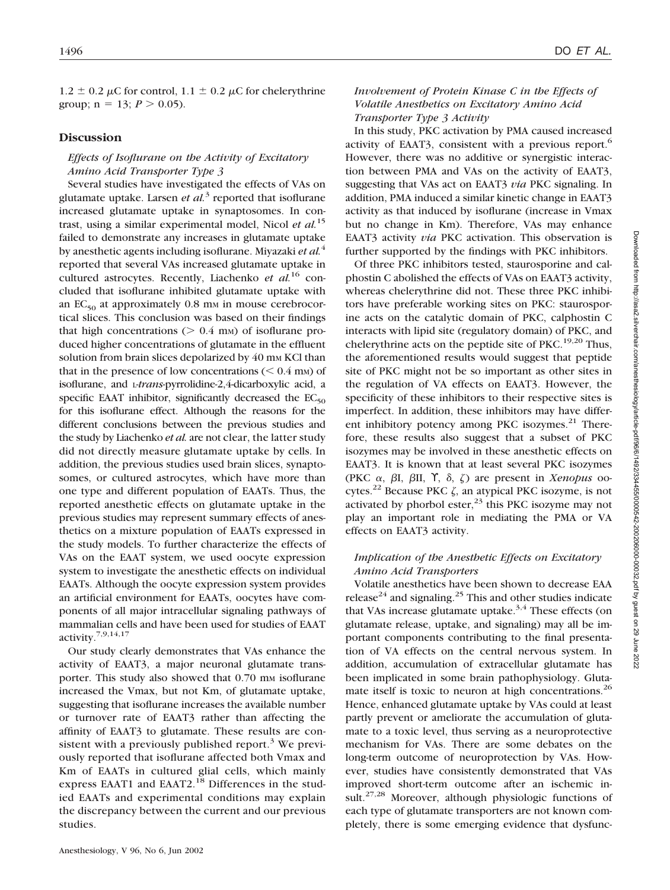$1.2 \pm 0.2 \mu C$  for control,  $1.1 \pm 0.2 \mu C$  for chelerythrine group;  $n = 13$ ;  $P > 0.05$ ).

#### **Discussion**

# *Effects of Isoflurane on the Activity of Excitatory Amino Acid Transporter Type 3*

Several studies have investigated the effects of VAs on glutamate uptake. Larsen *et al.*<sup>3</sup> reported that isoflurane increased glutamate uptake in synaptosomes. In contrast, using a similar experimental model, Nicol *et al.*<sup>15</sup> failed to demonstrate any increases in glutamate uptake by anesthetic agents including isoflurane. Miyazaki *et al.*<sup>4</sup> reported that several VAs increased glutamate uptake in cultured astrocytes. Recently, Liachenko *et al.*<sup>16</sup> concluded that isoflurane inhibited glutamate uptake with an  $EC_{50}$  at approximately 0.8 mm in mouse cerebrocortical slices. This conclusion was based on their findings that high concentrations  $($  > 0.4 mm) of isoflurane produced higher concentrations of glutamate in the effluent solution from brain slices depolarized by 40 mm KCl than that in the presence of low concentrations  $(< 0.4$  mm) of isoflurane, and L-*trans*-pyrrolidine-2,4-dicarboxylic acid, a specific EAAT inhibitor, significantly decreased the  $EC_{50}$ for this isoflurane effect. Although the reasons for the different conclusions between the previous studies and the study by Liachenko *et al.* are not clear, the latter study did not directly measure glutamate uptake by cells. In addition, the previous studies used brain slices, synaptosomes, or cultured astrocytes, which have more than one type and different population of EAATs. Thus, the reported anesthetic effects on glutamate uptake in the previous studies may represent summary effects of anesthetics on a mixture population of EAATs expressed in the study models. To further characterize the effects of VAs on the EAAT system, we used oocyte expression system to investigate the anesthetic effects on individual EAATs. Although the oocyte expression system provides an artificial environment for EAATs, oocytes have components of all major intracellular signaling pathways of mammalian cells and have been used for studies of EAAT activity.7,9,14,17

Our study clearly demonstrates that VAs enhance the activity of EAAT3, a major neuronal glutamate transporter. This study also showed that 0.70 mm isoflurane increased the Vmax, but not Km, of glutamate uptake, suggesting that isoflurane increases the available number or turnover rate of EAAT3 rather than affecting the affinity of EAAT3 to glutamate. These results are consistent with a previously published report.<sup>3</sup> We previously reported that isoflurane affected both Vmax and Km of EAATs in cultured glial cells, which mainly express EAAT1 and EAAT2.<sup>18</sup> Differences in the studied EAATs and experimental conditions may explain the discrepancy between the current and our previous studies.

# *Involvement of Protein Kinase C in the Effects of Volatile Anesthetics on Excitatory Amino Acid Transporter Type 3 Activity*

In this study, PKC activation by PMA caused increased activity of EAAT3, consistent with a previous report.<sup>6</sup> However, there was no additive or synergistic interaction between PMA and VAs on the activity of EAAT3, suggesting that VAs act on EAAT3 *via* PKC signaling. In addition, PMA induced a similar kinetic change in EAAT3 activity as that induced by isoflurane (increase in Vmax but no change in Km). Therefore, VAs may enhance EAAT3 activity *via* PKC activation. This observation is further supported by the findings with PKC inhibitors.

Of three PKC inhibitors tested, staurosporine and calphostin C abolished the effects of VAs on EAAT3 activity, whereas chelerythrine did not. These three PKC inhibitors have preferable working sites on PKC: staurosporine acts on the catalytic domain of PKC, calphostin C interacts with lipid site (regulatory domain) of PKC, and chelerythrine acts on the peptide site of  $PKC<sub>19,20</sub>$  Thus, the aforementioned results would suggest that peptide site of PKC might not be so important as other sites in the regulation of VA effects on EAAT3. However, the specificity of these inhibitors to their respective sites is imperfect. In addition, these inhibitors may have different inhibitory potency among PKC isozymes. $^{21}$  Therefore, these results also suggest that a subset of PKC isozymes may be involved in these anesthetic effects on EAAT3. It is known that at least several PKC isozymes (PKC  $\alpha$ ,  $\beta$ I,  $\beta$ II,  $\gamma$ ,  $\delta$ ,  $\zeta$ ) are present in *Xenopus* oocytes.<sup>22</sup> Because PKC  $\zeta$ , an atypical PKC isozyme, is not activated by phorbol ester, $^{23}$  this PKC isozyme may not play an important role in mediating the PMA or VA effects on EAAT3 activity.

# *Implication of the Anesthetic Effects on Excitatory Amino Acid Transporters*

Volatile anesthetics have been shown to decrease EAA release<sup>24</sup> and signaling.<sup>25</sup> This and other studies indicate that VAs increase glutamate uptake.<sup>3,4</sup> These effects (on glutamate release, uptake, and signaling) may all be important components contributing to the final presentation of VA effects on the central nervous system. In addition, accumulation of extracellular glutamate has been implicated in some brain pathophysiology. Glutamate itself is toxic to neuron at high concentrations.<sup>26</sup> Hence, enhanced glutamate uptake by VAs could at least partly prevent or ameliorate the accumulation of glutamate to a toxic level, thus serving as a neuroprotective mechanism for VAs. There are some debates on the long-term outcome of neuroprotection by VAs. However, studies have consistently demonstrated that VAs improved short-term outcome after an ischemic insult.<sup>27,28</sup> Moreover, although physiologic functions of each type of glutamate transporters are not known completely, there is some emerging evidence that dysfunc-